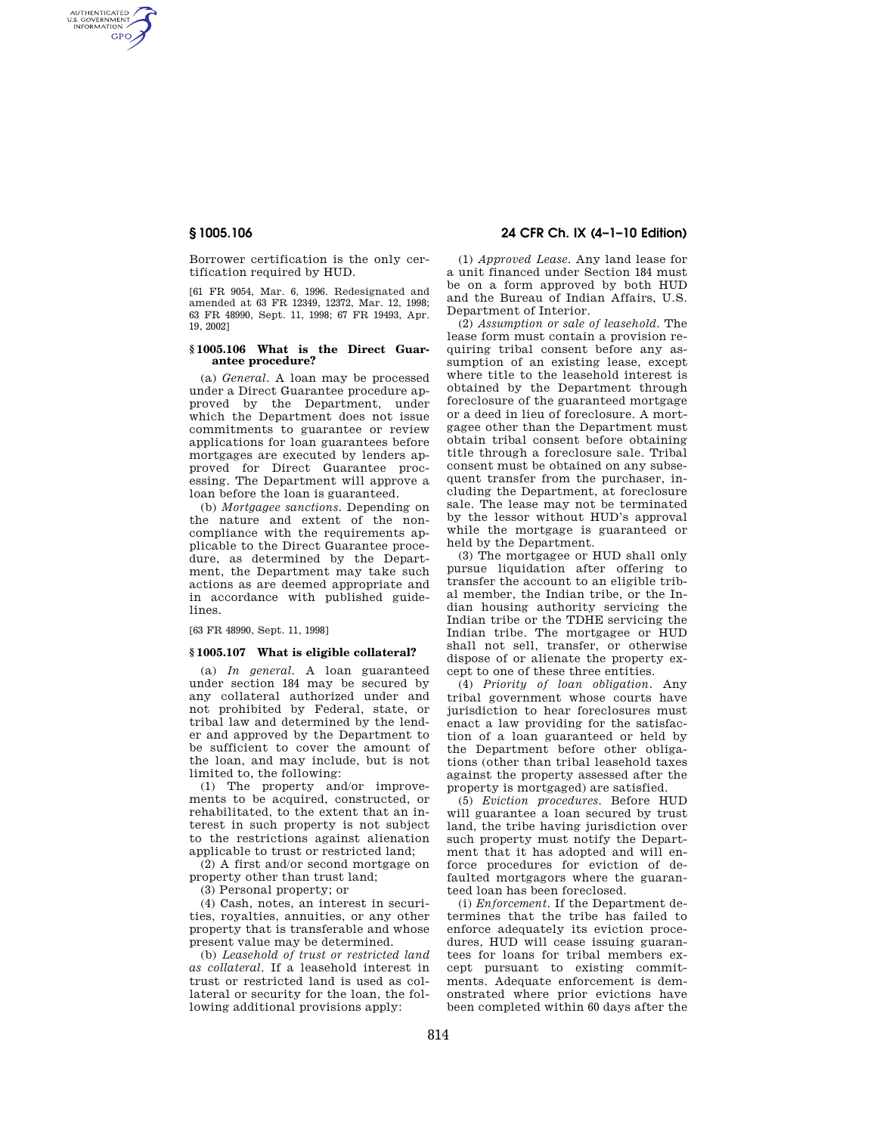AUTHENTICATED<br>U.S. GOVERNMENT<br>INFORMATION **GPO** 

> Borrower certification is the only certification required by HUD.

[61 FR 9054, Mar. 6, 1996. Redesignated and amended at 63 FR 12349, 12372, Mar. 12, 1998; 63 FR 48990, Sept. 11, 1998; 67 FR 19493, Apr. 19, 2002]

#### **§ 1005.106 What is the Direct Guarantee procedure?**

(a) *General.* A loan may be processed under a Direct Guarantee procedure approved by the Department, under which the Department does not issue commitments to guarantee or review applications for loan guarantees before mortgages are executed by lenders approved for Direct Guarantee processing. The Department will approve a loan before the loan is guaranteed.

(b) *Mortgagee sanctions.* Depending on the nature and extent of the noncompliance with the requirements applicable to the Direct Guarantee procedure, as determined by the Department, the Department may take such actions as are deemed appropriate and in accordance with published guidelines.

[63 FR 48990, Sept. 11, 1998]

#### **§ 1005.107 What is eligible collateral?**

(a) *In general.* A loan guaranteed under section 184 may be secured by any collateral authorized under and not prohibited by Federal, state, or tribal law and determined by the lender and approved by the Department to be sufficient to cover the amount of the loan, and may include, but is not limited to, the following:

(1) The property and/or improvements to be acquired, constructed, or rehabilitated, to the extent that an interest in such property is not subject to the restrictions against alienation applicable to trust or restricted land;

(2) A first and/or second mortgage on property other than trust land;

(3) Personal property; or

(4) Cash, notes, an interest in securities, royalties, annuities, or any other property that is transferable and whose present value may be determined.

(b) *Leasehold of trust or restricted land as collateral.* If a leasehold interest in trust or restricted land is used as collateral or security for the loan, the following additional provisions apply:

# **§ 1005.106 24 CFR Ch. IX (4–1–10 Edition)**

(1) *Approved Lease.* Any land lease for a unit financed under Section 184 must be on a form approved by both HUD and the Bureau of Indian Affairs, U.S. Department of Interior.

(2) *Assumption or sale of leasehold.* The lease form must contain a provision requiring tribal consent before any assumption of an existing lease, except where title to the leasehold interest is obtained by the Department through foreclosure of the guaranteed mortgage or a deed in lieu of foreclosure. A mortgagee other than the Department must obtain tribal consent before obtaining title through a foreclosure sale. Tribal consent must be obtained on any subsequent transfer from the purchaser, including the Department, at foreclosure sale. The lease may not be terminated by the lessor without HUD's approval while the mortgage is guaranteed or held by the Department.

(3) The mortgagee or HUD shall only pursue liquidation after offering to transfer the account to an eligible tribal member, the Indian tribe, or the Indian housing authority servicing the Indian tribe or the TDHE servicing the Indian tribe. The mortgagee or HUD shall not sell, transfer, or otherwise dispose of or alienate the property except to one of these three entities.

(4) *Priority of loan obligation.* Any tribal government whose courts have jurisdiction to hear foreclosures must enact a law providing for the satisfaction of a loan guaranteed or held by the Department before other obligations (other than tribal leasehold taxes against the property assessed after the property is mortgaged) are satisfied.

(5) *Eviction procedures.* Before HUD will guarantee a loan secured by trust land, the tribe having jurisdiction over such property must notify the Department that it has adopted and will enforce procedures for eviction of defaulted mortgagors where the guaranteed loan has been foreclosed.

(i) *Enforcement.* If the Department determines that the tribe has failed to enforce adequately its eviction procedures, HUD will cease issuing guarantees for loans for tribal members except pursuant to existing commitments. Adequate enforcement is demonstrated where prior evictions have been completed within 60 days after the